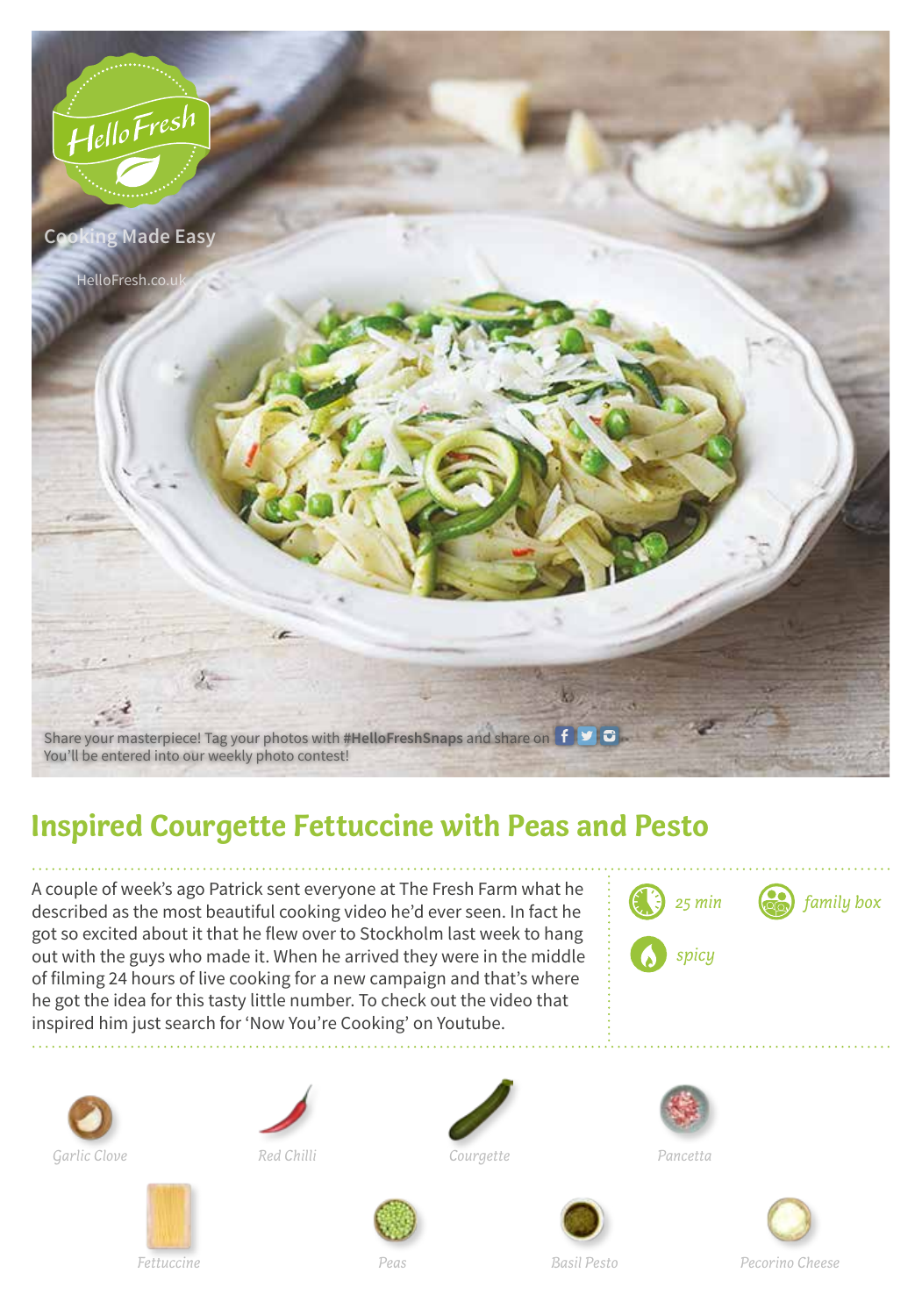

## **Inspired Courgette Fettuccine with Peas and Pesto**

A couple of week's ago Patrick sent everyone at The Fresh Farm what he described as the most beautiful cooking video he'd ever seen. In fact he got so excited about it that he flew over to Stockholm last week to hang out with the guys who made it. When he arrived they were in the middle of filming 24 hours of live cooking for a new campaign and that's where he got the idea for this tasty little number. To check out the video that inspired him just search for 'Now You're Cooking' on Youtube.